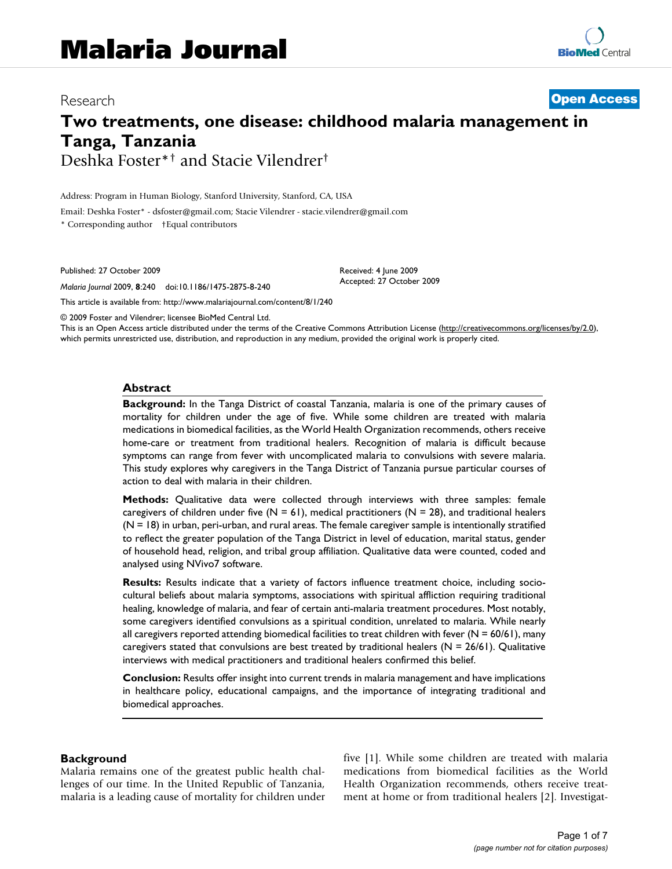## Research **[Open Access](http://www.biomedcentral.com/info/about/charter/)**

# **Two treatments, one disease: childhood malaria management in Tanga, Tanzania** Deshka Foster\*† and Stacie Vilendrer†

Address: Program in Human Biology, Stanford University, Stanford, CA, USA

Email: Deshka Foster\* - dsfoster@gmail.com; Stacie Vilendrer - stacie.vilendrer@gmail.com

\* Corresponding author †Equal contributors

Published: 27 October 2009

*Malaria Journal* 2009, **8**:240 doi:10.1186/1475-2875-8-240

[This article is available from: http://www.malariajournal.com/content/8/1/240](http://www.malariajournal.com/content/8/1/240)

© 2009 Foster and Vilendrer; licensee BioMed Central Ltd.

This is an Open Access article distributed under the terms of the Creative Commons Attribution License [\(http://creativecommons.org/licenses/by/2.0\)](http://creativecommons.org/licenses/by/2.0), which permits unrestricted use, distribution, and reproduction in any medium, provided the original work is properly cited.

Received: 4 June 2009 Accepted: 27 October 2009

#### **Abstract**

**Background:** In the Tanga District of coastal Tanzania, malaria is one of the primary causes of mortality for children under the age of five. While some children are treated with malaria medications in biomedical facilities, as the World Health Organization recommends, others receive home-care or treatment from traditional healers. Recognition of malaria is difficult because symptoms can range from fever with uncomplicated malaria to convulsions with severe malaria. This study explores why caregivers in the Tanga District of Tanzania pursue particular courses of action to deal with malaria in their children.

**Methods:** Qualitative data were collected through interviews with three samples: female caregivers of children under five ( $N = 61$ ), medical practitioners ( $N = 28$ ), and traditional healers (N = 18) in urban, peri-urban, and rural areas. The female caregiver sample is intentionally stratified to reflect the greater population of the Tanga District in level of education, marital status, gender of household head, religion, and tribal group affiliation. Qualitative data were counted, coded and analysed using NVivo7 software.

**Results:** Results indicate that a variety of factors influence treatment choice, including sociocultural beliefs about malaria symptoms, associations with spiritual affliction requiring traditional healing, knowledge of malaria, and fear of certain anti-malaria treatment procedures. Most notably, some caregivers identified convulsions as a spiritual condition, unrelated to malaria. While nearly all caregivers reported attending biomedical facilities to treat children with fever ( $N = 60/61$ ), many caregivers stated that convulsions are best treated by traditional healers ( $N = 26/61$ ). Qualitative interviews with medical practitioners and traditional healers confirmed this belief.

**Conclusion:** Results offer insight into current trends in malaria management and have implications in healthcare policy, educational campaigns, and the importance of integrating traditional and biomedical approaches.

#### **Background**

Malaria remains one of the greatest public health challenges of our time. In the United Republic of Tanzania, malaria is a leading cause of mortality for children under five [1]. While some children are treated with malaria medications from biomedical facilities as the World Health Organization recommends, others receive treatment at home or from traditional healers [2]. Investigat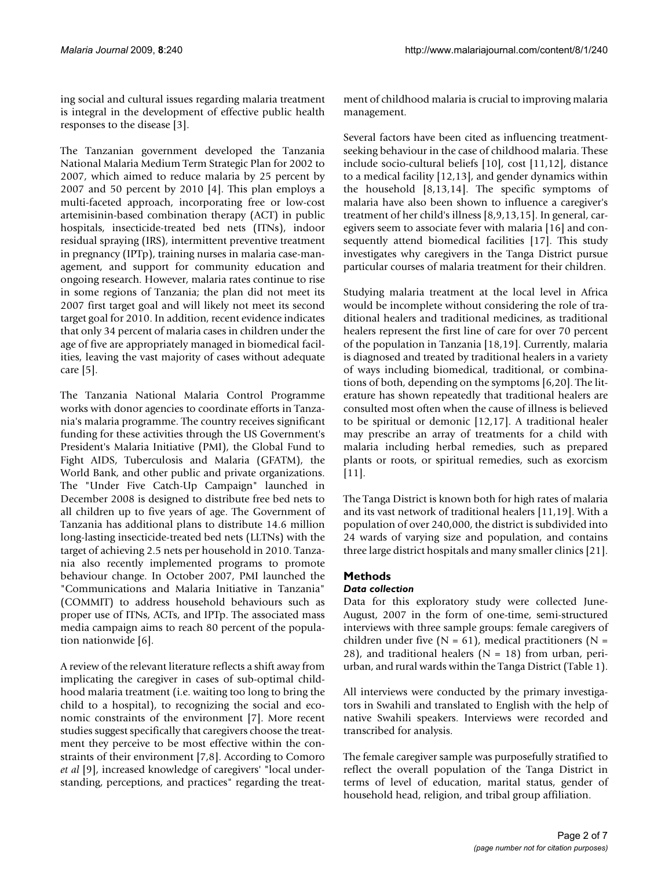ing social and cultural issues regarding malaria treatment is integral in the development of effective public health responses to the disease [3].

The Tanzanian government developed the Tanzania National Malaria Medium Term Strategic Plan for 2002 to 2007, which aimed to reduce malaria by 25 percent by 2007 and 50 percent by 2010 [4]. This plan employs a multi-faceted approach, incorporating free or low-cost artemisinin-based combination therapy (ACT) in public hospitals, insecticide-treated bed nets (ITNs), indoor residual spraying (IRS), intermittent preventive treatment in pregnancy (IPTp), training nurses in malaria case-management, and support for community education and ongoing research. However, malaria rates continue to rise in some regions of Tanzania; the plan did not meet its 2007 first target goal and will likely not meet its second target goal for 2010. In addition, recent evidence indicates that only 34 percent of malaria cases in children under the age of five are appropriately managed in biomedical facilities, leaving the vast majority of cases without adequate care [5].

The Tanzania National Malaria Control Programme works with donor agencies to coordinate efforts in Tanzania's malaria programme. The country receives significant funding for these activities through the US Government's President's Malaria Initiative (PMI), the Global Fund to Fight AIDS, Tuberculosis and Malaria (GFATM), the World Bank, and other public and private organizations. The "Under Five Catch-Up Campaign" launched in December 2008 is designed to distribute free bed nets to all children up to five years of age. The Government of Tanzania has additional plans to distribute 14.6 million long-lasting insecticide-treated bed nets (LLTNs) with the target of achieving 2.5 nets per household in 2010. Tanzania also recently implemented programs to promote behaviour change. In October 2007, PMI launched the "Communications and Malaria Initiative in Tanzania" (COMMIT) to address household behaviours such as proper use of ITNs, ACTs, and IPTp. The associated mass media campaign aims to reach 80 percent of the population nationwide [6].

A review of the relevant literature reflects a shift away from implicating the caregiver in cases of sub-optimal childhood malaria treatment (i.e. waiting too long to bring the child to a hospital), to recognizing the social and economic constraints of the environment [7]. More recent studies suggest specifically that caregivers choose the treatment they perceive to be most effective within the constraints of their environment [7,8]. According to Comoro *et al* [9], increased knowledge of caregivers' "local understanding, perceptions, and practices" regarding the treatment of childhood malaria is crucial to improving malaria management.

Several factors have been cited as influencing treatmentseeking behaviour in the case of childhood malaria. These include socio-cultural beliefs [10], cost [11,12], distance to a medical facility [12,13], and gender dynamics within the household [8,13,14]. The specific symptoms of malaria have also been shown to influence a caregiver's treatment of her child's illness [8,9,13,15]. In general, caregivers seem to associate fever with malaria [16] and consequently attend biomedical facilities [17]. This study investigates why caregivers in the Tanga District pursue particular courses of malaria treatment for their children.

Studying malaria treatment at the local level in Africa would be incomplete without considering the role of traditional healers and traditional medicines, as traditional healers represent the first line of care for over 70 percent of the population in Tanzania [18,19]. Currently, malaria is diagnosed and treated by traditional healers in a variety of ways including biomedical, traditional, or combinations of both, depending on the symptoms [6,20]. The literature has shown repeatedly that traditional healers are consulted most often when the cause of illness is believed to be spiritual or demonic [12,17]. A traditional healer may prescribe an array of treatments for a child with malaria including herbal remedies, such as prepared plants or roots, or spiritual remedies, such as exorcism [11].

The Tanga District is known both for high rates of malaria and its vast network of traditional healers [11,19]. With a population of over 240,000, the district is subdivided into 24 wards of varying size and population, and contains three large district hospitals and many smaller clinics [21].

## **Methods**

### *Data collection*

Data for this exploratory study were collected June-August, 2007 in the form of one-time, semi-structured interviews with three sample groups: female caregivers of children under five ( $N = 61$ ), medical practitioners ( $N =$ 28), and traditional healers ( $N = 18$ ) from urban, periurban, and rural wards within the Tanga District (Table 1).

All interviews were conducted by the primary investigators in Swahili and translated to English with the help of native Swahili speakers. Interviews were recorded and transcribed for analysis.

The female caregiver sample was purposefully stratified to reflect the overall population of the Tanga District in terms of level of education, marital status, gender of household head, religion, and tribal group affiliation.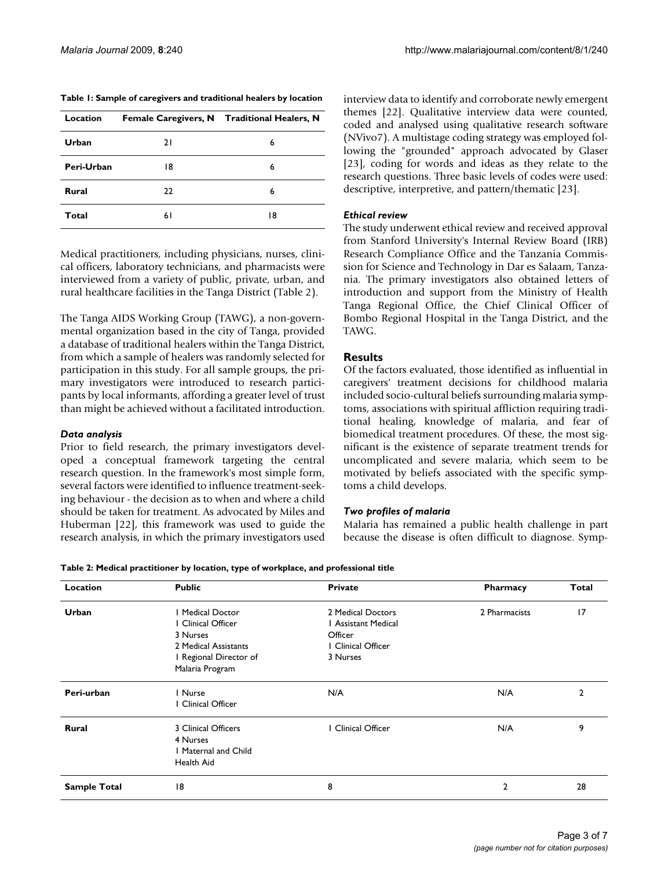|  |  | Table 1: Sample of caregivers and traditional healers by location |  |  |  |
|--|--|-------------------------------------------------------------------|--|--|--|
|--|--|-------------------------------------------------------------------|--|--|--|

| Location   |    | Female Caregivers, N Traditional Healers, N |
|------------|----|---------------------------------------------|
| Urban      | 21 | 6                                           |
| Peri-Urban | 18 | 6                                           |
| Rural      | 22 | 6                                           |
| Total      | 61 | 18                                          |

Medical practitioners, including physicians, nurses, clinical officers, laboratory technicians, and pharmacists were interviewed from a variety of public, private, urban, and rural healthcare facilities in the Tanga District (Table 2).

The Tanga AIDS Working Group (TAWG), a non-governmental organization based in the city of Tanga, provided a database of traditional healers within the Tanga District, from which a sample of healers was randomly selected for participation in this study. For all sample groups, the primary investigators were introduced to research participants by local informants, affording a greater level of trust than might be achieved without a facilitated introduction.

#### *Data analysis*

Prior to field research, the primary investigators developed a conceptual framework targeting the central research question. In the framework's most simple form, several factors were identified to influence treatment-seeking behaviour - the decision as to when and where a child should be taken for treatment. As advocated by Miles and Huberman [22], this framework was used to guide the research analysis, in which the primary investigators used interview data to identify and corroborate newly emergent themes [22]. Qualitative interview data were counted, coded and analysed using qualitative research software (NVivo7). A multistage coding strategy was employed following the "grounded" approach advocated by Glaser [23], coding for words and ideas as they relate to the research questions. Three basic levels of codes were used: descriptive, interpretive, and pattern/thematic [23].

#### *Ethical review*

The study underwent ethical review and received approval from Stanford University's Internal Review Board (IRB) Research Compliance Office and the Tanzania Commission for Science and Technology in Dar es Salaam, Tanzania. The primary investigators also obtained letters of introduction and support from the Ministry of Health Tanga Regional Office, the Chief Clinical Officer of Bombo Regional Hospital in the Tanga District, and the TAWG.

#### **Results**

Of the factors evaluated, those identified as influential in caregivers' treatment decisions for childhood malaria included socio-cultural beliefs surrounding malaria symptoms, associations with spiritual affliction requiring traditional healing, knowledge of malaria, and fear of biomedical treatment procedures. Of these, the most significant is the existence of separate treatment trends for uncomplicated and severe malaria, which seem to be motivated by beliefs associated with the specific symptoms a child develops.

#### *Two profiles of malaria*

Malaria has remained a public health challenge in part because the disease is often difficult to diagnose. Symp-

**Table 2: Medical practitioner by location, type of workplace, and professional title**

| Location            | <b>Public</b>          | <b>Private</b>          | Pharmacy       | Total |
|---------------------|------------------------|-------------------------|----------------|-------|
| Urban               | I Medical Doctor       | 2 Medical Doctors       | 2 Pharmacists  | 17    |
|                     | I Clinical Officer     | 1 Assistant Medical     |                |       |
|                     | 3 Nurses               | Officer                 |                |       |
|                     | 2 Medical Assistants   | I Clinical Officer      |                |       |
|                     | I Regional Director of | 3 Nurses                |                |       |
|                     | Malaria Program        |                         |                |       |
| Peri-urban          | I Nurse                | N/A                     | N/A            | 2     |
|                     | Clinical Officer       |                         |                |       |
| Rural               | 3 Clinical Officers    | <b>Clinical Officer</b> | N/A            | 9     |
|                     | 4 Nurses               |                         |                |       |
|                     | I Maternal and Child   |                         |                |       |
|                     | Health Aid             |                         |                |       |
| <b>Sample Total</b> | 18                     | 8                       | $\overline{2}$ | 28    |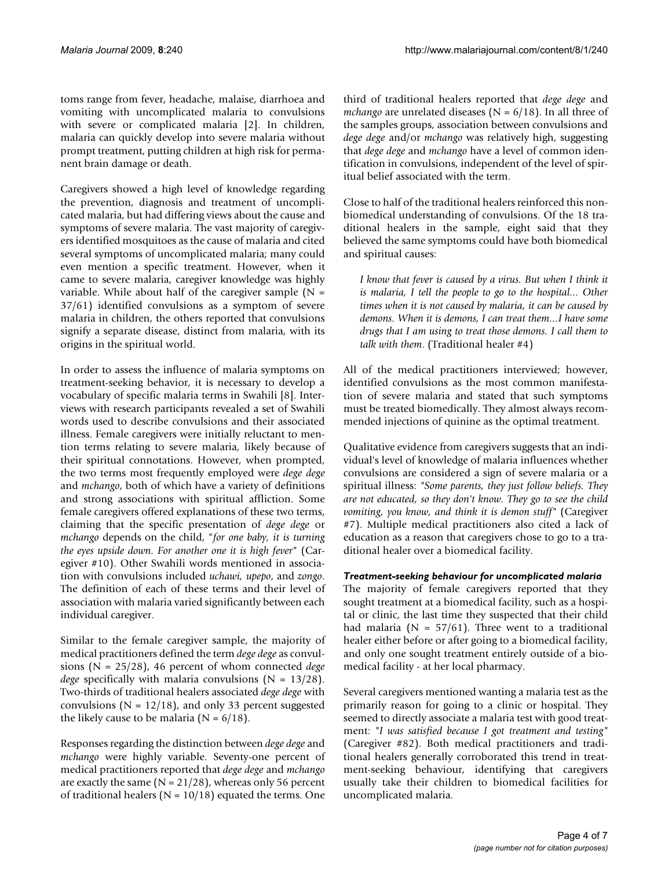toms range from fever, headache, malaise, diarrhoea and vomiting with uncomplicated malaria to convulsions with severe or complicated malaria [2]. In children, malaria can quickly develop into severe malaria without prompt treatment, putting children at high risk for permanent brain damage or death.

Caregivers showed a high level of knowledge regarding the prevention, diagnosis and treatment of uncomplicated malaria, but had differing views about the cause and symptoms of severe malaria. The vast majority of caregivers identified mosquitoes as the cause of malaria and cited several symptoms of uncomplicated malaria; many could even mention a specific treatment. However, when it came to severe malaria, caregiver knowledge was highly variable. While about half of the caregiver sample ( $N =$ 37/61) identified convulsions as a symptom of severe malaria in children, the others reported that convulsions signify a separate disease, distinct from malaria, with its origins in the spiritual world.

In order to assess the influence of malaria symptoms on treatment-seeking behavior, it is necessary to develop a vocabulary of specific malaria terms in Swahili [8]. Interviews with research participants revealed a set of Swahili words used to describe convulsions and their associated illness. Female caregivers were initially reluctant to mention terms relating to severe malaria, likely because of their spiritual connotations. However, when prompted, the two terms most frequently employed were *dege dege* and *mchango*, both of which have a variety of definitions and strong associations with spiritual affliction. Some female caregivers offered explanations of these two terms, claiming that the specific presentation of *dege dege* or *mchango* depends on the child, "*for one baby, it is turning the eyes upside down. For another one it is high fever*" (Caregiver #10). Other Swahili words mentioned in association with convulsions included *uchawi, upepo*, and *zongo*. The definition of each of these terms and their level of association with malaria varied significantly between each individual caregiver.

Similar to the female caregiver sample, the majority of medical practitioners defined the term *dege dege* as convulsions (N = 25/28), 46 percent of whom connected *dege dege* specifically with malaria convulsions (N = 13/28). Two-thirds of traditional healers associated *dege dege* with convulsions ( $N = 12/18$ ), and only 33 percent suggested the likely cause to be malaria ( $N = 6/18$ ).

Responses regarding the distinction between *dege dege* and *mchango* were highly variable. Seventy-one percent of medical practitioners reported that *dege dege* and *mchango* are exactly the same ( $N = 21/28$ ), whereas only 56 percent of traditional healers ( $N = 10/18$ ) equated the terms. One third of traditional healers reported that *dege dege* and *mchango* are unrelated diseases ( $N = 6/18$ ). In all three of the samples groups, association between convulsions and *dege dege* and/or *mchango* was relatively high, suggesting that *dege dege* and *mchango* have a level of common identification in convulsions, independent of the level of spiritual belief associated with the term.

Close to half of the traditional healers reinforced this nonbiomedical understanding of convulsions. Of the 18 traditional healers in the sample, eight said that they believed the same symptoms could have both biomedical and spiritual causes:

*I know that fever is caused by a virus. But when I think it is malaria, I tell the people to go to the hospital... Other times when it is not caused by malaria, it can be caused by demons. When it is demons, I can treat them...I have some drugs that I am using to treat those demons. I call them to talk with them*. (Traditional healer #4)

All of the medical practitioners interviewed; however, identified convulsions as the most common manifestation of severe malaria and stated that such symptoms must be treated biomedically. They almost always recommended injections of quinine as the optimal treatment.

Qualitative evidence from caregivers suggests that an individual's level of knowledge of malaria influences whether convulsions are considered a sign of severe malaria or a spiritual illness: *"Some parents, they just follow beliefs. They are not educated, so they don't know. They go to see the child vomiting, you know, and think it is demon stuff"* (Caregiver #7). Multiple medical practitioners also cited a lack of education as a reason that caregivers chose to go to a traditional healer over a biomedical facility.

#### *Treatment-seeking behaviour for uncomplicated malaria*

The majority of female caregivers reported that they sought treatment at a biomedical facility, such as a hospital or clinic, the last time they suspected that their child had malaria ( $N = 57/61$ ). Three went to a traditional healer either before or after going to a biomedical facility, and only one sought treatment entirely outside of a biomedical facility - at her local pharmacy.

Several caregivers mentioned wanting a malaria test as the primarily reason for going to a clinic or hospital. They seemed to directly associate a malaria test with good treatment: *"I was satisfied because I got treatment and testing"* (Caregiver #82). Both medical practitioners and traditional healers generally corroborated this trend in treatment-seeking behaviour, identifying that caregivers usually take their children to biomedical facilities for uncomplicated malaria.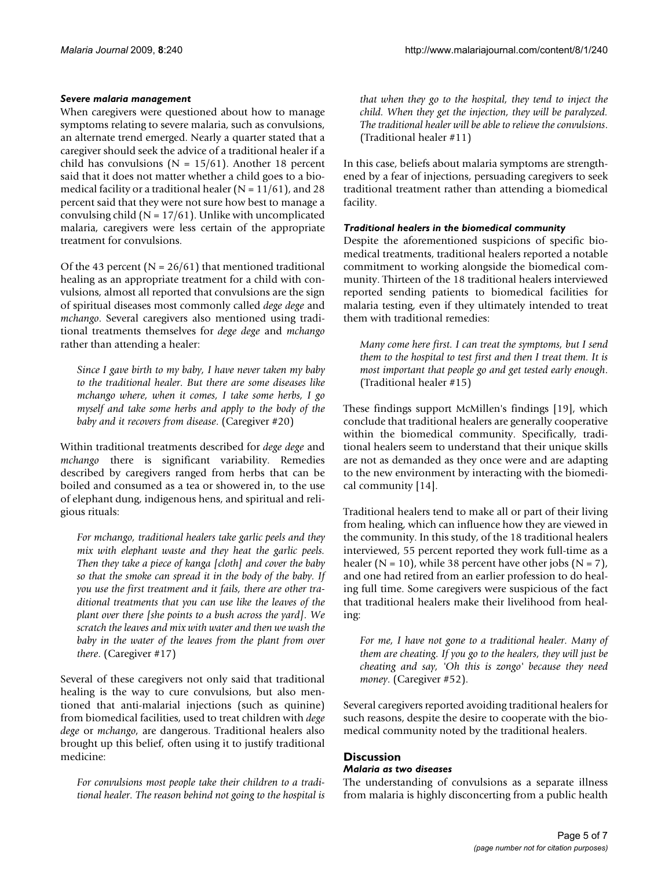#### *Severe malaria management*

When caregivers were questioned about how to manage symptoms relating to severe malaria, such as convulsions, an alternate trend emerged. Nearly a quarter stated that a caregiver should seek the advice of a traditional healer if a child has convulsions ( $N = 15/61$ ). Another 18 percent said that it does not matter whether a child goes to a biomedical facility or a traditional healer ( $N = 11/61$ ), and 28 percent said that they were not sure how best to manage a convulsing child ( $N = 17/61$ ). Unlike with uncomplicated malaria, caregivers were less certain of the appropriate treatment for convulsions.

Of the 43 percent ( $N = 26/61$ ) that mentioned traditional healing as an appropriate treatment for a child with convulsions, almost all reported that convulsions are the sign of spiritual diseases most commonly called *dege dege* and *mchango*. Several caregivers also mentioned using traditional treatments themselves for *dege dege* and *mchango* rather than attending a healer:

*Since I gave birth to my baby, I have never taken my baby to the traditional healer. But there are some diseases like mchango where, when it comes, I take some herbs, I go myself and take some herbs and apply to the body of the baby and it recovers from disease*. (Caregiver #20)

Within traditional treatments described for *dege dege* and *mchango* there is significant variability. Remedies described by caregivers ranged from herbs that can be boiled and consumed as a tea or showered in, to the use of elephant dung, indigenous hens, and spiritual and religious rituals:

*For mchango, traditional healers take garlic peels and they mix with elephant waste and they heat the garlic peels. Then they take a piece of kanga [cloth] and cover the baby so that the smoke can spread it in the body of the baby. If you use the first treatment and it fails, there are other traditional treatments that you can use like the leaves of the plant over there [she points to a bush across the yard]. We scratch the leaves and mix with water and then we wash the baby in the water of the leaves from the plant from over there*. (Caregiver #17)

Several of these caregivers not only said that traditional healing is the way to cure convulsions, but also mentioned that anti-malarial injections (such as quinine) from biomedical facilities, used to treat children with *dege dege* or *mchango*, are dangerous. Traditional healers also brought up this belief, often using it to justify traditional medicine:

*For convulsions most people take their children to a traditional healer. The reason behind not going to the hospital is*

*that when they go to the hospital, they tend to inject the child. When they get the injection, they will be paralyzed. The traditional healer will be able to relieve the convulsions*. (Traditional healer #11)

In this case, beliefs about malaria symptoms are strengthened by a fear of injections, persuading caregivers to seek traditional treatment rather than attending a biomedical facility.

#### *Traditional healers in the biomedical community*

Despite the aforementioned suspicions of specific biomedical treatments, traditional healers reported a notable commitment to working alongside the biomedical community. Thirteen of the 18 traditional healers interviewed reported sending patients to biomedical facilities for malaria testing, even if they ultimately intended to treat them with traditional remedies:

*Many come here first. I can treat the symptoms, but I send them to the hospital to test first and then I treat them. It is most important that people go and get tested early enough*. (Traditional healer #15)

These findings support McMillen's findings [19], which conclude that traditional healers are generally cooperative within the biomedical community. Specifically, traditional healers seem to understand that their unique skills are not as demanded as they once were and are adapting to the new environment by interacting with the biomedical community [14].

Traditional healers tend to make all or part of their living from healing, which can influence how they are viewed in the community. In this study, of the 18 traditional healers interviewed, 55 percent reported they work full-time as a healer ( $N = 10$ ), while 38 percent have other jobs ( $N = 7$ ), and one had retired from an earlier profession to do healing full time. Some caregivers were suspicious of the fact that traditional healers make their livelihood from healing:

*For me, I have not gone to a traditional healer. Many of them are cheating. If you go to the healers, they will just be cheating and say, 'Oh this is zongo' because they need money*. (Caregiver #52).

Several caregivers reported avoiding traditional healers for such reasons, despite the desire to cooperate with the biomedical community noted by the traditional healers.

## **Discussion**

# *Malaria as two diseases*

The understanding of convulsions as a separate illness from malaria is highly disconcerting from a public health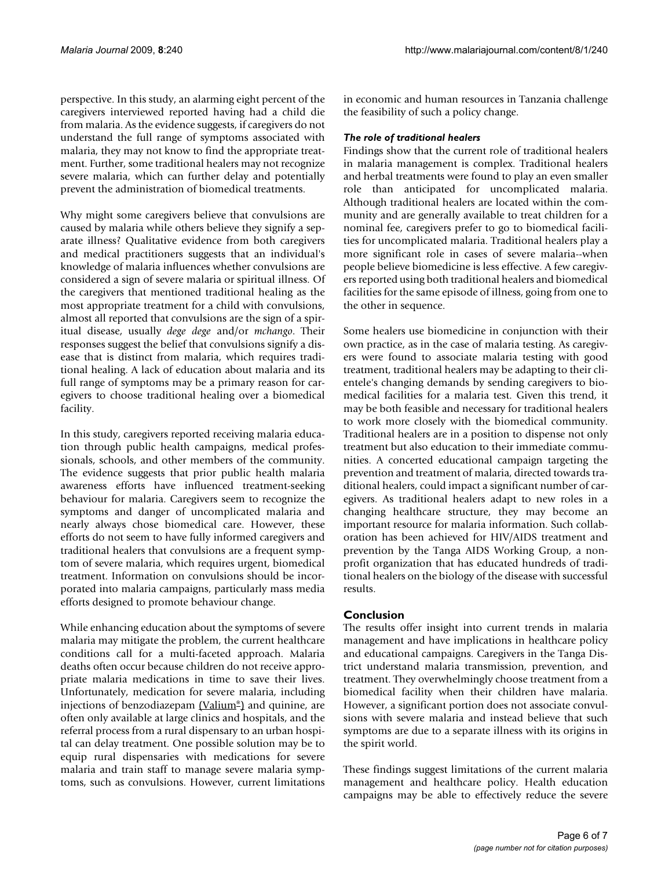perspective. In this study, an alarming eight percent of the caregivers interviewed reported having had a child die from malaria. As the evidence suggests, if caregivers do not understand the full range of symptoms associated with malaria, they may not know to find the appropriate treatment. Further, some traditional healers may not recognize severe malaria, which can further delay and potentially prevent the administration of biomedical treatments.

Why might some caregivers believe that convulsions are caused by malaria while others believe they signify a separate illness? Qualitative evidence from both caregivers and medical practitioners suggests that an individual's knowledge of malaria influences whether convulsions are considered a sign of severe malaria or spiritual illness. Of the caregivers that mentioned traditional healing as the most appropriate treatment for a child with convulsions, almost all reported that convulsions are the sign of a spiritual disease, usually *dege dege* and/or *mchango*. Their responses suggest the belief that convulsions signify a disease that is distinct from malaria, which requires traditional healing. A lack of education about malaria and its full range of symptoms may be a primary reason for caregivers to choose traditional healing over a biomedical facility.

In this study, caregivers reported receiving malaria education through public health campaigns, medical professionals, schools, and other members of the community. The evidence suggests that prior public health malaria awareness efforts have influenced treatment-seeking behaviour for malaria. Caregivers seem to recognize the symptoms and danger of uncomplicated malaria and nearly always chose biomedical care. However, these efforts do not seem to have fully informed caregivers and traditional healers that convulsions are a frequent symptom of severe malaria, which requires urgent, biomedical treatment. Information on convulsions should be incorporated into malaria campaigns, particularly mass media efforts designed to promote behaviour change.

While enhancing education about the symptoms of severe malaria may mitigate the problem, the current healthcare conditions call for a multi-faceted approach. Malaria deaths often occur because children do not receive appropriate malaria medications in time to save their lives. Unfortunately, medication for severe malaria, including injections of benzodiazepam (Valium®) and quinine, are often only available at large clinics and hospitals, and the referral process from a rural dispensary to an urban hospital can delay treatment. One possible solution may be to equip rural dispensaries with medications for severe malaria and train staff to manage severe malaria symptoms, such as convulsions. However, current limitations

in economic and human resources in Tanzania challenge the feasibility of such a policy change.

#### *The role of traditional healers*

Findings show that the current role of traditional healers in malaria management is complex. Traditional healers and herbal treatments were found to play an even smaller role than anticipated for uncomplicated malaria. Although traditional healers are located within the community and are generally available to treat children for a nominal fee, caregivers prefer to go to biomedical facilities for uncomplicated malaria. Traditional healers play a more significant role in cases of severe malaria--when people believe biomedicine is less effective. A few caregivers reported using both traditional healers and biomedical facilities for the same episode of illness, going from one to the other in sequence.

Some healers use biomedicine in conjunction with their own practice, as in the case of malaria testing. As caregivers were found to associate malaria testing with good treatment, traditional healers may be adapting to their clientele's changing demands by sending caregivers to biomedical facilities for a malaria test. Given this trend, it may be both feasible and necessary for traditional healers to work more closely with the biomedical community. Traditional healers are in a position to dispense not only treatment but also education to their immediate communities. A concerted educational campaign targeting the prevention and treatment of malaria, directed towards traditional healers, could impact a significant number of caregivers. As traditional healers adapt to new roles in a changing healthcare structure, they may become an important resource for malaria information. Such collaboration has been achieved for HIV/AIDS treatment and prevention by the Tanga AIDS Working Group, a nonprofit organization that has educated hundreds of traditional healers on the biology of the disease with successful results.

## **Conclusion**

The results offer insight into current trends in malaria management and have implications in healthcare policy and educational campaigns. Caregivers in the Tanga District understand malaria transmission, prevention, and treatment. They overwhelmingly choose treatment from a biomedical facility when their children have malaria. However, a significant portion does not associate convulsions with severe malaria and instead believe that such symptoms are due to a separate illness with its origins in the spirit world.

These findings suggest limitations of the current malaria management and healthcare policy. Health education campaigns may be able to effectively reduce the severe